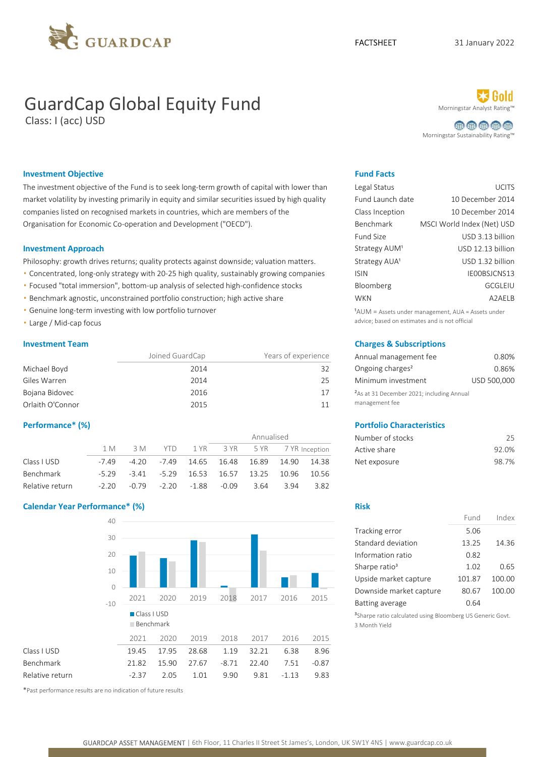

# GuardCap Global Equity Fund Morningstar Analyst Ratingstar Analyst Rating Rating Rating Rating Rating Rating R

Class: I (acc) USD

曲曲曲曲曲 Morningstar Sustainability Rating™

### **Investment Objective Fund Facts** Fund Facts

The investment objective of the Fund is to seek long-term growth of capital with lower than market volatility by investing primarily in equity and similar securities issued by high quality companies listed on recognised markets in countries, which are members of the Organisation for Economic Co-operation and Development ("OECD").

#### **Investment Approach**

Philosophy: growth drives returns; quality protects against downside; valuation matters.

- Concentrated, long-only strategy with 20-25 high quality, sustainably growing companies
- Focused "total immersion", bottom-up analysis of selected high-confidence stocks
- **·** Benchmark agnostic, unconstrained portfolio construction; high active share
- Genuine long-term investing with low portfolio turnover
- Large / Mid-cap focus

|                  | Joined GuardCap | Years of experience | Annual management fee                                 | 0.80%       |
|------------------|-----------------|---------------------|-------------------------------------------------------|-------------|
| Michael Boyd     | 2014            | 32                  | Ongoing charges <sup>2</sup>                          | 0.86%       |
| Giles Warren     | 2014            | 25                  | Minimum investment                                    | USD 500,000 |
| Bojana Bidovec   | 2016            | 17                  | <sup>2</sup> As at 31 December 2021; including Annual |             |
| Orlaith O'Connor | 2015            |                     | management fee                                        |             |

|                 |         |         |         | Annualised  |                |       |       | Number of stocks | 25           |       |
|-----------------|---------|---------|---------|-------------|----------------|-------|-------|------------------|--------------|-------|
|                 | 1 M     | 3 M     | YTD.    |             | 1 YR 3 YR 5 YR |       |       | 7 YR Inception   | Active share | 92.0% |
| Class I USD     | $-7.49$ | -4.20   | -7.49   | 14.65       | 16.48          | 16.89 | 14.90 | 14.38            | Net exposure | 98.7% |
| Benchmark       | $-5.29$ | $-3.41$ | $-5.29$ | 16.53 16.57 |                | 13.25 | 10.96 | 10.56            |              |       |
| Relative return | $-2.20$ | $-0.79$ | $-2.20$ | $-1.88$     | $-0.09$        | 3.64  | 3.94  | 3.82             |              |       |

#### Calendar Year Performance\* (%) Risk and the control of the control of the control of the control of the control of the control of the control of the control of the control of the control of the control of the control of th



\*Past performance results are no indication of future results

| Legal Status              | <b>UCITS</b>               |
|---------------------------|----------------------------|
| Fund Launch date          | 10 December 2014           |
| Class Inception           | 10 December 2014           |
| Benchmark                 | MSCI World Index (Net) USD |
| <b>Fund Size</b>          | USD 3.13 billion           |
| Strategy AUM <sup>1</sup> | USD 12.13 billion          |
| Strategy AUA <sup>1</sup> | USD 1.32 billion           |
| <b>ISIN</b>               | IE00BSJCNS13               |
| Bloomberg                 | GCGLEIU                    |
| <b>WKN</b>                | A2AELB                     |
|                           |                            |

<sup>1</sup>AUM = Assets under management, AUA = Assets under advice; based on estimates and is not official

### Investment Team Charges & Subscriptions

| Annual management fee                                 | 0.80%       |
|-------------------------------------------------------|-------------|
| Ongoing charges <sup>2</sup>                          | 0.86%       |
| Minimum investment                                    | USD 500,000 |
| <sup>2</sup> As at 31 December 2021; including Annual |             |
| management fee                                        |             |

#### Performance\* (%) Portfolio Characteristics

| Number of stocks | 25    |
|------------------|-------|
| Active share     | 92.0% |
| Net exposure     | 98.7% |

|                           | Fund   | Index  |
|---------------------------|--------|--------|
| Tracking error            | 5.06   |        |
| Standard deviation        | 13.25  | 14.36  |
| Information ratio         | 0.82   |        |
| Sharpe ratio <sup>3</sup> | 1.02   | 0.65   |
| Upside market capture     | 101.87 | 100.00 |
| Downside market capture   | 80.67  | 100.00 |
| <b>Batting average</b>    | 0.64   |        |

<sup>3</sup>Sharpe ratio calculated using Bloomberg US Generic Govt. 3 Month Yield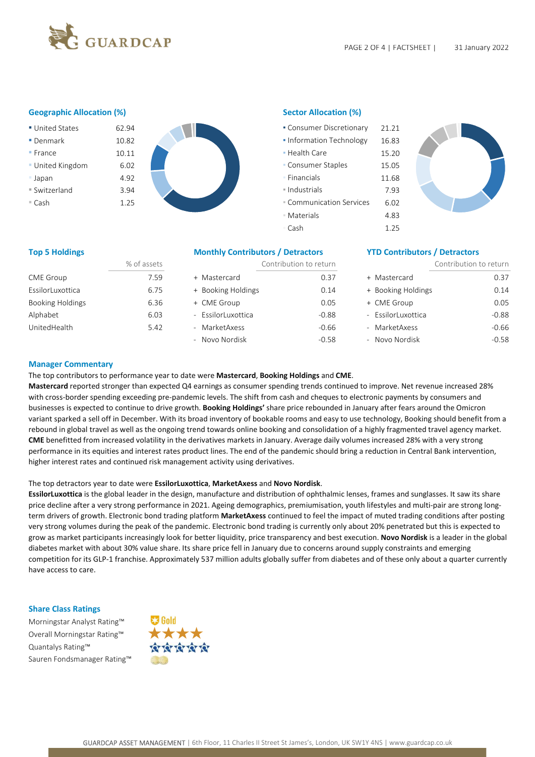

### Geographic Allocation (%) Sector Allocation (%)

■ United States 62.94 ■ Denmark 10.82 10.82 **■ Information Technology 16.83** ■ France 10.11 10.11 **Provided a laterate 15.20 • United Kingdom** 6.02 ■ Japan 11.68 **4.92 ↓ Product 11.68** ■ Switzerland 3.94 **1.4 PM 1.4 PM 1.4 PM 1.4 PM 1.4 PM 1.4 PM 1.4 PM 1.4 PM 1.4 PM 1.4 PM 1.4 PM 1.4 PM 1.4 PM 1.4 PM 1.4 PM 1.4 PM 1.4 PM 1.4 PM 1.4 PM 1.4 PM 1.4 PM 1.4 PM 1.4 PM 1.4 PM 1.4 PM 1.4 PM 1.4 PM 1.4 PM 1.4 P** ▪ Cash 1.25 ▪ Communication Services 6.02

| • Consumer Discretionary        | 21.21 |
|---------------------------------|-------|
| • Information Technology        | 16.83 |
| $\blacksquare$ Health Care      | 15.20 |
| • Consumer Staples              | 15.05 |
| • Financials                    | 11.68 |
| $\blacksquare$ Industrials      | 7.93  |
| <b>E</b> Communication Services | 6.02  |
| <b>Materials</b>                | 4.83  |
| = Cash                          | 1.25  |



### Top 5 Holdings The Monthly Contributors / Detractors The Contributors / Detractors The Theorem The Monthly Contributors / Detractors The Theorem In the Theorem In the Theorem In the Theorem In the Theorem In the Theorem In

|                         | % of assets |                    | Contribution to return |                    | Contribution to return |  |
|-------------------------|-------------|--------------------|------------------------|--------------------|------------------------|--|
| <b>CME Group</b>        | 7.59        | + Mastercard       | 0.37                   | + Mastercard       | 0.37                   |  |
| EssilorLuxottica        | 6.75        | + Booking Holdings | 0.14                   | + Booking Holdings | 0.14                   |  |
| <b>Booking Holdings</b> | 6.36        | + CME Group        | 0.05                   | + CME Group        | 0.05                   |  |
| Alphabet                | 6.03        | - EssilorLuxottica | $-0.88$                | - EssilorLuxottica | $-0.88$                |  |
| UnitedHealth            | 5.42        | - MarketAxess      | $-0.66$                | - MarketAxess      | $-0.66$                |  |
|                         |             | - Novo Nordisk     | $-0.58$                | - Novo Nordisk     | $-0.58$                |  |

#### Manager Commentary

The top contributors to performance year to date were Mastercard, Booking Holdings and CME.

Mastercard reported stronger than expected Q4 earnings as consumer spending trends continued to improve. Net revenue increased 28% with cross-border spending exceeding pre-pandemic levels. The shift from cash and cheques to electronic payments by consumers and businesses is expected to continue to drive growth. Booking Holdings' share price rebounded in January after fears around the Omicron variant sparked a sell off in December. With its broad inventory of bookable rooms and easy to use technology, Booking should benefit from a rebound in global travel as well as the ongoing trend towards online booking and consolidation of a highly fragmented travel agency market. CME benefitted from increased volatility in the derivatives markets in January. Average daily volumes increased 28% with a very strong performance in its equities and interest rates product lines. The end of the pandemic should bring a reduction in Central Bank intervention, higher interest rates and continued risk management activity using derivatives.

#### The top detractors year to date were EssilorLuxottica, MarketAxess and Novo Nordisk.

EssilorLuxottica is the global leader in the design, manufacture and distribution of ophthalmic lenses, frames and sunglasses. It saw its share price decline after a very strong performance in 2021. Ageing demographics, premiumisation, youth lifestyles and multi-pair are strong longterm drivers of growth. Electronic bond trading platform MarketAxess continued to feel the impact of muted trading conditions after posting very strong volumes during the peak of the pandemic. Electronic bond trading is currently only about 20% penetrated but this is expected to grow as market participants increasingly look for better liquidity, price transparency and best execution. Novo Nordisk is a leader in the global diabetes market with about 30% value share. Its share price fell in January due to concerns around supply constraints and emerging competition for its GLP-1 franchise. Approximately 537 million adults globally suffer from diabetes and of these only about a quarter currently have access to care.

#### Share Class Ratings

Morningstar Analyst Rating™ Overall Morningstar Rating™ Quantalys Rating™ Sauren Fondsmanager Rating™

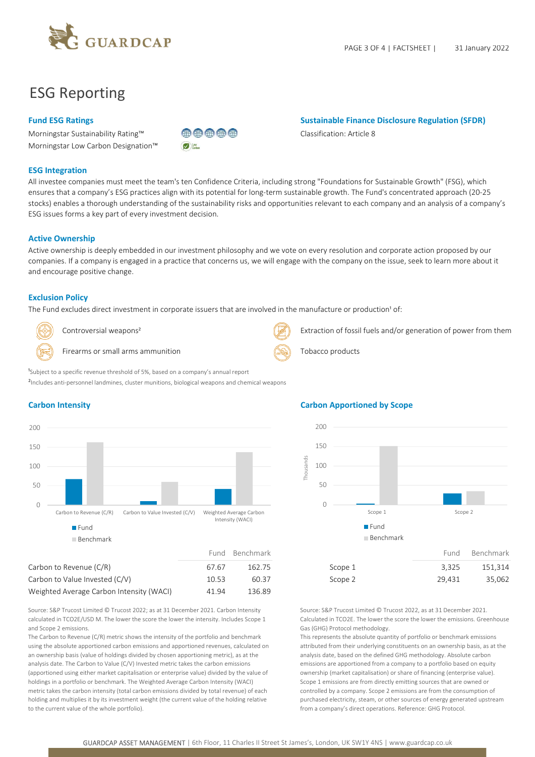

## ESG Reporting

### Fund ESG Ratings **Sustainable Finance Disclosure Regulation (SFDR)** Sustainable Finance Disclosure Regulation (SFDR)

Morningstar Sustainability Rating™ Classification: Article 8 Morningstar Low Carbon Designation™



#### ESG Integration

All investee companies must meet the team's ten Confidence Criteria, including strong "Foundations for Sustainable Growth" (FSG), which ensures that a company's ESG practices align with its potential for long-term sustainable growth. The Fund's concentrated approach (20-25 stocks) enables a thorough understanding of the sustainability risks and opportunities relevant to each company and an analysis of a company's ESG issues forms a key part of every investment decision.

#### Active Ownership

Active ownership is deeply embedded in our investment philosophy and we vote on every resolution and corporate action proposed by our companies. If a company is engaged in a practice that concerns us, we will engage with the company on the issue, seek to learn more about it and encourage positive change.

#### Exclusion Policy

The Fund excludes direct investment in corporate issuers that are involved in the manufacture or production<sup>1</sup> of:



Controversial weapons<sup>2</sup> Extraction of fossil fuels and/or generation of power from them

Firearms or small arms ammunition  $\left(\bigotimes_{i=1}^{\infty} \mathbb{R}^2\right)$  Tobacco products



## $0 \leftarrow$   $\blacksquare$   $\blacksquare$   $\blacksquare$   $\blacksquare$   $\blacksquare$   $\blacksquare$   $\blacksquare$ 50 — February 1995 — Paris 1995 — Paris 1996 — Paris 1996 — Paris 1996 — Paris 1996 — Paris 1996 — Paris 1996 100 150 200 Intensity (WACI) Fund **Fund Fund** Benchmark

| Carbon to Revenue (C/R)                  | 67.67 | 162.75 | Scope 1 | 3.325  | 151.314 |
|------------------------------------------|-------|--------|---------|--------|---------|
| Carbon to Value Invested (C/V)           | 10.53 | 60.37  | Scope 2 | 29.431 | 35.062  |
| Weighted Average Carbon Intensity (WACI) | 41.94 | 136.89 |         |        |         |

Source: S&P Trucost Limited © Trucost 2022; as at 31 December 2021. Carbon Intensity calculated in TCO2E/USD M. The lower the score the lower the intensity. Includes Scope 1 and Scope 2 emissions.

The Carbon to Revenue (C/R) metric shows the intensity of the portfolio and benchmark using the absolute apportioned carbon emissions and apportioned revenues, calculated on an ownership basis (value of holdings divided by chosen apportioning metric), as at the analysis date. The Carbon to Value (C/V) Invested metric takes the carbon emissions (apportioned using either market capitalisation or enterprise value) divided by the value of holdings in a portfolio or benchmark. The Weighted Average Carbon Intensity (WACI) metric takes the carbon intensity (total carbon emissions divided by total revenue) of each holding and multiplies it by its investment weight (the current value of the holding relative to the current value of the whole portfolio).

### Carbon Intensity Carbon Apportioned by Scope



Source: S&P Trucost Limited © Trucost 2022, as at 31 December 2021. Calculated in TCO2E. The lower the score the lower the emissions. Greenhouse Gas (GHG) Protocol methodology.

This represents the absolute quantity of portfolio or benchmark emissions attributed from their underlying constituents on an ownership basis, as at the analysis date, based on the defined GHG methodology. Absolute carbon emissions are apportioned from a company to a portfolio based on equity ownership (market capitalisation) or share of financing (enterprise value). Scope 1 emissions are from directly emitting sources that are owned or controlled by a company. Scope 2 emissions are from the consumption of purchased electricity, steam, or other sources of energy generated upstream from a company's direct operations. Reference: GHG Protocol.